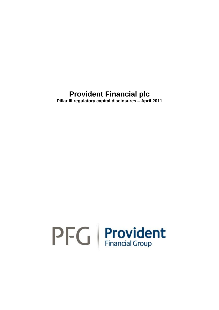**Pillar III regulatory capital disclosures – April 2011**

# $PFG$  Provident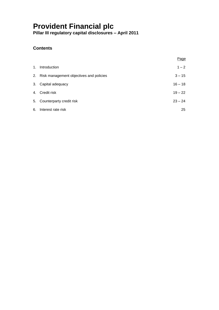**Pillar III regulatory capital disclosures – April 2011**

### **Contents**

|                                            | Page      |
|--------------------------------------------|-----------|
| 1. Introduction                            | $1 - 2$   |
| 2. Risk management objectives and policies | $3 - 15$  |
| 3. Capital adequacy                        | $16 - 18$ |
| 4. Credit risk                             | $19 - 22$ |
| 5. Counterparty credit risk                | $23 - 24$ |
| 6. Interest rate risk                      | 25        |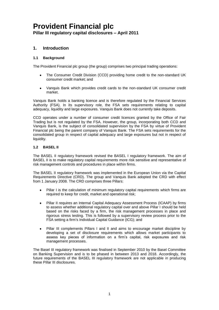#### **1. Introduction**

#### **1.1 Background**

The Provident Financial plc group (the group) comprises two principal trading operations:

- The Consumer Credit Division (CCD) providing home credit to the non-standard UK consumer credit market; and
- Vanquis Bank which provides credit cards to the non-standard UK consumer credit market.

Vanquis Bank holds a banking licence and is therefore regulated by the Financial Services Authority (FSA). In its supervisory role, the FSA sets requirements relating to capital adequacy, liquidity and large exposures. Vanquis Bank does not currently take deposits.

CCD operates under a number of consumer credit licences granted by the Office of Fair Trading but is not regulated by the FSA. However, the group, incorporating both CCD and Vanquis Bank, is the subject of consolidated supervision by the FSA by virtue of Provident Financial plc being the parent company of Vanquis Bank. The FSA sets requirements for the consolidated group in respect of capital adequacy and large exposures but not in respect of liquidity.

#### **1.2 BASEL II**

The BASEL II regulatory framework revised the BASEL I regulatory framework. The aim of BASEL II is to make regulatory capital requirements more risk sensitive and representative of risk management controls and procedures in place within firms.

The BASEL II regulatory framework was implemented in the European Union via the Capital Requirements Directive (CRD). The group and Vanquis Bank adopted the CRD with effect from 1 January 2008. The CRD comprises three Pillars:

- Pillar I is the calculation of minimum regulatory capital requirements which firms are required to keep for credit, market and operational risk;
- Pillar II requires an Internal Capital Adequacy Assessment Process (ICAAP) by firms to assess whether additional regulatory capital over and above Pillar I should be held based on the risks faced by a firm, the risk management processes in place and rigorous stress testing. This is followed by a supervisory review process prior to the FSA setting a firm's Individual Capital Guidance (ICG); and
- Pillar III complements Pillars I and II and aims to encourage market discipline by developing a set of disclosure requirements which allows market participants to assess key pieces of information on a firm's capital, risk exposures and risk management processes.

The Basel III regulatory framework was finalised in September 2010 by the Basel Committee on Banking Supervision and is to be phased in between 2013 and 2018. Accordingly, the future requirements of the BASEL III regulatory framework are not applicable in producing these Pillar III disclosures.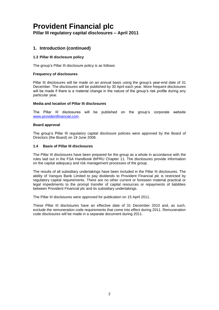**Pillar III regulatory capital disclosures – April 2011**

#### **1. Introduction (continued)**

#### **1.3 Pillar III disclosure policy**

The group's Pillar III disclosure policy is as follows:

#### **Frequency of disclosures**

Pillar III disclosures will be made on an annual basis using the group's year-end date of 31 December. The disclosures will be published by 30 April each year. More frequent disclosures will be made if there is a material change in the nature of the group's risk profile during any particular year.

#### **Media and location of Pillar III disclosures**

The Pillar III disclosures will be published on the group's corporate website [www.providentfinancial.com.](http://www.providentfinancial.com/)

#### **Board approval**

The group's Pillar III regulatory capital disclosure policies were approved by the Board of Directors (the Board) on 19 June 2008.

#### **1.4 Basis of Pillar III disclosures**

The Pillar III disclosures have been prepared for the group as a whole in accordance with the rules laid out in the FSA Handbook BIPRU Chapter 11. The disclosures provide information on the capital adequacy and risk management processes of the group.

The results of all subsidiary undertakings have been included in the Pillar III disclosures. The ability of Vanquis Bank Limited to pay dividends to Provident Financial plc is restricted by regulatory capital requirements. There are no other current or foreseen material practical or legal impediments to the prompt transfer of capital resources or repayments of liabilities between Provident Financial plc and its subsidiary undertakings.

The Pillar III disclosures were approved for publication on 15 April 2011.

These Pillar III disclosures have an effective date of 31 December 2010 and, as such, exclude the remuneration code requirements that come into effect during 2011. Remuneration code disclosures will be made in a separate document during 2011.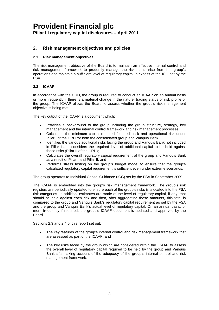#### **2. Risk management objectives and policies**

#### **2.1 Risk management objectives**

The risk management objective of the Board is to maintain an effective internal control and risk management framework to prudently manage the risks that arise from the group's operations and maintain a sufficient level of regulatory capital in excess of the ICG set by the FSA.

#### **2.2 ICAAP**

In accordance with the CRD, the group is required to conduct an ICAAP on an annual basis or more frequently if there is a material change in the nature, trading status or risk profile of the group. The ICAAP allows the Board to assess whether the group's risk management objective is being met.

The key output of the ICAAP is a document which:

- Provides a background to the group including the group structure, strategy, key management and the internal control framework and risk management processes;
- Calculates the minimum capital required for credit risk and operational risk under Pillar I of the CRD for both the consolidated group and Vanquis Bank;
- Identifies the various additional risks facing the group and Vanquis Bank not included in Pillar I and considers the required level of additional capital to be held against those risks (Pillar II of the CRD);
- Calculates the overall regulatory capital requirement of the group and Vanquis Bank as a result of Pillar I and Pillar II; and
- Performs stress testing on the group's budget model to ensure that the group's calculated regulatory capital requirement is sufficient even under extreme scenarios.

The group operates to Individual Capital Guidance (ICG) set by the FSA in September 2009.

The ICAAP is embedded into the group's risk management framework. The group's risk registers are periodically updated to ensure each of the group's risks is allocated into the FSA risk categories. In addition, estimates are made of the level of regulatory capital, if any, that should be held against each risk and then, after aggregating these amounts, this total is compared to the group and Vanquis Bank's regulatory capital requirement as set by the FSA and the group and Vanquis Bank's actual level of regulatory capital. On an annual basis, or more frequently if required, the group's ICAAP document is updated and approved by the Board.

Sections 2.3 and 2.4 of this report set out:

- The key features of the group's internal control and risk management framework that  $\bullet$ are assessed as part of the ICAAP; and
- The key risks faced by the group which are considered within the ICAAP to assess the overall level of regulatory capital required to be held by the group and Vanquis Bank after taking account of the adequacy of the group's internal control and risk management framework.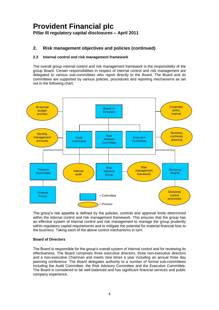#### **2. Risk management objectives and policies (continued)**

#### **2.3 Internal control and risk management framework**

The overall group internal control and risk management framework is the responsibility of the group Board. Certain responsibilities in respect of internal control and risk management are delegated to various sub-committees who report directly to the Board. The Board and its committees are supported by various policies, procedures and reporting mechanisms as set out in the following chart:



The group's risk appetite is defined by the policies, controls and approval limits determined within the internal control and risk management framework. This ensures that the group has an effective system of internal control and risk management to manage the group prudently within regulatory capital requirements and to mitigate the potential for material financial loss to the business. Taking each of the above control mechanisms in turn:

#### **Board of Directors**

The Board is responsible for the group's overall system of internal control and for reviewing its effectiveness. The Board comprises three executive directors, three non-executive directors and a non-executive Chairman and meets nine times a year including an annual three day planning conference. The Board delegates authority to a number of formal sub-committees including the Audit Committee, the Risk Advisory Committee and the Executive Committee. The Board is considered to be well-balanced and has significant financial services and public company experience.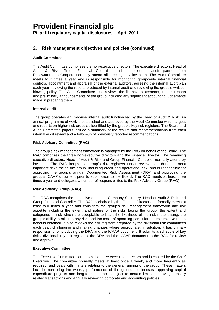#### **2. Risk management objectives and policies (continued)**

#### **Audit Committee**

The Audit Committee comprises the non-executive directors. The executive directors, Head of Audit & Risk, Group Financial Controller and the external audit partner from PricewaterhouseCoopers normally attend all meetings by invitation. The Audit Committee meets four times a year and is responsible for monitoring group-wide internal financial controls, appointment and appraisal of the external auditors, agreeing the internal audit plan each year, reviewing the reports produced by internal audit and reviewing the group's whistleblowing policy. The Audit Committee also reviews the financial statements, interim reports and preliminary announcements of the group including any significant accounting judgements made in preparing them.

#### **Internal audit**

The group operates an in-house internal audit function led by the Head of Audit & Risk. An annual programme of work is established and approved by the Audit Committee which targets and reports on higher risk areas as identified by the group's key risk registers. The Board and Audit Committee papers include a summary of the results and recommendations from each internal audit review and a follow-up of previously reported recommendations.

#### **Risk Advisory Committee (RAC)**

The group's risk management framework is managed by the RAC on behalf of the Board. The RAC comprises the three non-executive directors and the Finance Director. The remaining executive directors, Head of Audit & Risk and Group Financial Controller normally attend by invitation. The RAC keeps the group's risk registers under review, considers the most important risks facing the group, including credit and operational risk, and is responsible for approving the group's annual Documented Risk Assessment (DRA) and approving the group's ICAAP document prior to submission to the Board. The RAC meets at least three times a year and delegates a number of responsibilities to the Risk Advisory Group (RAG).

#### **Risk Advisory Group (RAG)**

The RAG comprises the executive directors, Company Secretary, Head of Audit & Risk and Group Financial Controller. The RAG is chaired by the Finance Director and formally meets at least four times a year and considers the group's risk management framework and risk appetite including the extent and nature of the risks facing the group, the extent and categories of risk which are acceptable to bear, the likelihood of the risk materialising, the group's ability to mitigate any risk, and the costs of operating particular controls relative to the benefits obtained. It also reviews the risk registers prepared by the divisional risk committees each year, challenging and making changes where appropriate. In addition, it has primary responsibility for producing the DRA and the ICAAP document. It submits a schedule of key risks, divisional key risk registers, the DRA and the ICAAP document to the RAC for review and approval.

#### **Executive Committee**

The Executive Committee comprises the three executive directors and is chaired by the Chief Executive. The committee normally meets at least once a week, and more frequently as required, and deals with matters relating to the general running of the group. These matters include monitoring the weekly performance of the group's businesses, approving capital expenditure projects and long-term contracts subject to certain limits, approving treasury related transactions and annually reviewing corporate and accounting policies.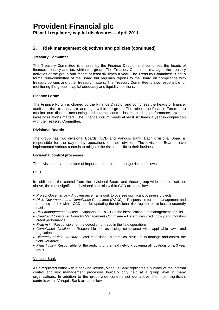#### **2. Risk management objectives and policies (continued)**

#### **Treasury Committee**

The Treasury Committee is chaired by the Finance Director and comprises the heads of finance, treasury and tax within the group. The Treasury Committee manages the treasury activities of the group and meets at least six times a year. The Treasury Committee is not a formal sub-committee of the Board but regularly reports to the Board on compliance with treasury policies and other treasury matters. The Treasury Committee is also responsible for monitoring the group's capital adequacy and liquidity positions.

#### **Finance Forum**

The Finance Forum is chaired by the Finance Director and comprises the heads of finance, audit and risk, treasury, tax and legal within the group. The role of the Finance Forum is to monitor and discuss accounting and internal control issues, trading performance, tax and investor relations matters. The Finance Forum meets at least six times a year in conjunction with the Treasury Committee.

#### **Divisional Boards**

The group has two divisional Boards: CCD and Vanquis Bank. Each divisional Board is responsible for the day-to-day operations of their division. The divisional Boards have implemented various controls to mitigate the risks specific to their business.

#### **Divisional control processes**

The divisions have a number of important controls to manage risk as follows:

#### CCD

In addition to the control from the divisional Board and those group-wide controls set out above, the most significant divisional controls within CCD are as follows:

- *Project Governance* A governance framework to oversee significant business projects.
- *Risk, Governance and Compliance Committee (RGCC)* Responsible for the management and reporting of risk within CCD and for updating the divisional risk register on at least a quarterly basis.
- *Risk management function*  Supports the RGCC in the identification and management of risks.
- *Credit and Consumer Portfolio Management Committee*  Determines credit policy and monitors credit performance.
- *Field risk* Responsible for the detection of fraud in the field operations.
- *Compliance function* Responsible for assessing compliance with applicable laws and regulations.
- *Hierarchy of field structure* Well-established hierarchical structure to manage and control the field workforce.
- Field Audit Responsible for the auditing of the field network covering all locations on a 3 year cycle.

#### Vanquis Bank

As a regulated entity with a banking license, Vanquis Bank replicates a number of the internal control and risk management processes typically only held at a group level in many organisations. In addition to the group-wide controls set out above, the most significant controls within Vanquis Bank are as follows: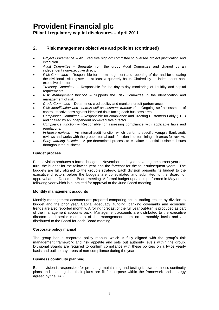**Pillar III regulatory capital disclosures – April 2011**

#### **2. Risk management objectives and policies (continued)**

- *Project Governance*  An Executive sign-off committee to oversee project justification and execution.
- *Audit Committee* Separate from the group Audit Committee and chaired by an independent non-executive director.
- *Risk Committee* Responsible for the management and reporting of risk and for updating the divisional risk register on at least a quarterly basis. Chaired by an independent nonexecutive director.
- *Treasury Committee* Responsible for the day-to-day monitoring of liquidity and capital requirements.
- *Risk management function*  Supports the Risk Committee in the identification and management of risk.
- *Credit Committee*  Determines credit policy and monitors credit performance.
- *Risk identification and controls self-assessment framework*  Ongoing self-assessment of control effectiveness against identified risks facing each business area.
- *Compliance Committee*  Responsible for compliance and Treating Customers Fairly (TCF) and chaired by an independent non-executive director.
- *Compliance function* Responsible for assessing compliance with applicable laws and regulations.
- *In-house reviews* An internal audit function which performs specific Vanquis Bank audit reviews and works with the group internal audit function in determining risk areas for review.
- *Early warning bulletin* A pre-determined process to escalate potential business issues throughout the business.

#### **Budget process**

Each division produces a formal budget in November each year covering the current year outturn, the budget for the following year and the forecast for the four subsequent years. The budgets are fully aligned to the group's strategy. Each division presents its budget to the executive directors before the budgets are consolidated and submitted to the Board for approval at the December Board meeting. A formal budget update is performed in May of the following year which is submitted for approval at the June Board meeting.

#### **Monthly management accounts**

Monthly management accounts are prepared comparing actual trading results by division to budget and the prior year. Capital adequacy, funding, banking covenants and economic trends are also reported monthly. A rolling forecast of the full year out-turn is produced as part of the management accounts pack. Management accounts are distributed to the executive directors and senior members of the management team on a monthly basis and are distributed to the Board for each Board meeting.

#### **Corporate policy manual**

The group has a corporate policy manual which is fully aligned with the group's risk management framework and risk appetite and sets out authority levels within the group. Divisional Boards are required to confirm compliance with these policies on a twice yearly basis and outline any areas of non-compliance during the year.

#### **Business continuity planning**

Each division is responsible for preparing, maintaining and testing its own business continuity plans and ensuring that their plans are fit for purpose within the framework and strategy agreed by the RAG.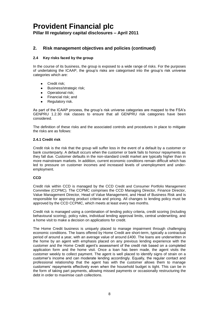**Pillar III regulatory capital disclosures – April 2011**

#### **2. Risk management objectives and policies (continued)**

#### **2.4 Key risks faced by the group**

In the course of its business, the group is exposed to a wide range of risks. For the purposes of undertaking the ICAAP, the group's risks are categorised into the group's risk universe categories which are:

- Credit risk;
- Business/strategic risk;  $\bullet$
- Operational risk;
- Financial risk; and
- Regulatory risk.

As part of the ICAAP process, the group's risk universe categories are mapped to the FSA's GENPRU 1.2.30 risk classes to ensure that all GENPRU risk categories have been considered.

The definition of these risks and the associated controls and procedures in place to mitigate the risks are as follows:

#### **2.4.1 Credit risk**

Credit risk is the risk that the group will suffer loss in the event of a default by a customer or bank counterparty. A default occurs when the customer or bank fails to honour repayments as they fall due. Customer defaults in the non-standard credit market are typically higher than in more mainstream markets. In addition, current economic conditions remain difficult which has led to pressure on customer incomes and increased levels of unemployment and underemployment.

#### **CCD**

Credit risk within CCD is managed by the CCD Credit and Consumer Portfolio Management Committee (CCPMC)*.* The CCPMC comprises the CCD Managing Director, Finance Director, Value Management Director, Head of Value Management, and Head of Business Risk and is responsible for approving product criteria and pricing. All changes to lending policy must be approved by the CCD CCPMC, which meets at least every two months.

Credit risk is managed using a combination of lending policy criteria, credit scoring (including behavioural scoring), policy rules, individual lending approval limits, central underwriting, and a home visit to make a decision on applications for credit.

The Home Credit business is uniquely placed to manage impairment through challenging economic conditions. The loans offered by Home Credit are short-term, typically a contractual period of around a year, with an average value of around £400. The loans are underwritten in the home by an agent with emphasis placed on any previous lending experience with the customer and the Home Credit agent's assessment of the credit risk based on a completed application form and the home visit. Once a loan has been made, the agent visits the customer weekly to collect payment. The agent is well placed to identify signs of strain on a customer's income and can moderate lending accordingly. Equally, the regular contact and professional relationship that the agent has with the customer allows them to manage customers' repayments effectively even when the household budget is tight. This can be in the form of taking part payments, allowing missed payments or occasionally restructuring the debt in order to maximise cash collections.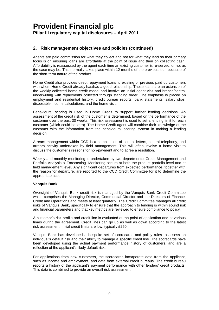#### **2. Risk management objectives and policies (continued)**

Agents are paid commission for what they collect and not for what they lend so their primary focus is on ensuring loans are affordable at the point of issue and then on collecting cash. Affordability is reassessed by the agent each time an existing customer is re-served, or not as the case may be. This normally takes place within 12 months of the previous loan because of the short-term nature of the product.

Home Credit also provides direct repayment loans to existing or previous paid up customers with whom Home Credit already has/had a good relationship. These loans are an extension of the weekly collected home credit model and involve an initial agent visit and branch/central underwriting with repayments collected through standing order. The emphasis is placed on employment and residential history, credit bureau reports, bank statements, salary slips, disposable income calculations, and the home visit.

Behavioural scoring is used in Home Credit to support further lending decisions. An assessment of the credit risk of the customer is determined, based on the performance of the customer over the past 30 weeks. This risk assessment is used to set a lending limit for each customer (which could be zero). The Home Credit agent will combine their knowledge of the customer with the information from the behavioural scoring system in making a lending decision.

Arrears management within CCD is a combination of central letters, central telephony, and arrears activity undertaken by field management. This will often involve a home visit to discuss the customer's reasons for non-payment and to agree a resolution.

Weekly and monthly monitoring is undertaken by two departments: Credit Management and Portfolio Analysis & Forecasting. Monitoring occurs at both the product portfolio level and at field management level. Any significant departures from expected performance, together with the reason for departure, are reported to the CCD Credit Committee for it to determine the appropriate action.

#### **Vanquis Bank**

Oversight of Vanquis Bank credit risk is managed by the Vanquis Bank Credit Committee which comprises the Managing Director, Commercial Director and the Directors of Finance, Credit and Operations and meets at least quarterly. The Credit Committee manages all credit risks of Vanquis Bank, specifically to ensure that the approach to lending is within sound risk and financial parameters and that key metrics are reviewed to ensure compliance to policy.

A customer's risk profile and credit line is evaluated at the point of application and at various times during the agreement. Credit lines can go up as well as down according to the latest risk assessment. Initial credit limits are low, typically £250.

Vanquis Bank has developed a bespoke set of scorecards and policy rules to assess an individual's default risk and their ability to manage a specific credit line. The scorecards have been developed using the actual payment performance history of customers, and are a reflection of the applicant's likely default risk.

For applications from new customers, the scorecards incorporate data from the applicant, such as income and employment, and data from external credit bureaus. The credit bureau reports a history of the applicant's payment performance with other lenders' credit products. This data is combined to provide an overall risk assessment.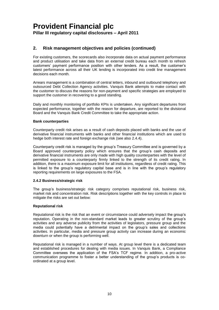#### **2. Risk management objectives and policies (continued)**

For existing customers, the scorecards also incorporate data on actual payment performance and product utilisation and take data from an external credit bureau each month to refresh customers' payment performance position with other lenders. As a result, the customer's latest performance across all their UK lending is incorporated into credit line management decisions each month.

Arrears management is a combination of central letters, inbound and outbound telephony and outsourced Debt Collection Agency activities. Vanquis Bank attempts to make contact with the customer to discuss the reasons for non-payment and specific strategies are employed to support the customer in recovering to a good standing.

Daily and monthly monitoring of portfolio KPIs is undertaken. Any significant departures from expected performance, together with the reason for departure, are reported to the divisional Board and the Vanquis Bank Credit Committee to take the appropriate action.

#### **Bank counterparties**

Counterparty credit risk arises as a result of cash deposits placed with banks and the use of derivative financial instruments with banks and other financial institutions which are used to hedge both interest rate and foreign exchange risk (see also 2.4.4).

Counterparty credit risk is managed by the group's Treasury Committee and is governed by a Board approved counterparty policy which ensures that the group's cash deposits and derivative financial instruments are only made with high quality counterparties with the level of permitted exposure to a counterparty firmly linked to the strength of its credit rating. In addition, there is a maximum exposure limit for all institutions, regardless of credit rating. This is linked to the group's regulatory capital base and is in line with the group's regulatory reporting requirements on large exposures to the FSA.

#### **2.4.2 Business/strategic risk**

The group's business/strategic risk category comprises reputational risk, business risk, market risk and concentration risk. Risk descriptions together with the key controls in place to mitigate the risks are set out below:

#### **Reputational risk**

Reputational risk is the risk that an event or circumstance could adversely impact the group's reputation. Operating in the non-standard market leads to greater scrutiny of the group's activities and any adverse publicity from the activities of legislators, pressure group and the media could potentially have a detrimental impact on the group's sales and collections activities. In particular, media and pressure group activity can increase during an economic downturn or when the group is performing well.

Reputational risk is managed in a number of ways. At group level there is a dedicated team and established procedures for dealing with media issues. In Vanquis Bank, a Compliance Committee oversees the application of the FSA's TCF regime. In addition, a pro-active communication programme to foster a better understanding of the group's products is coordinated at a group level.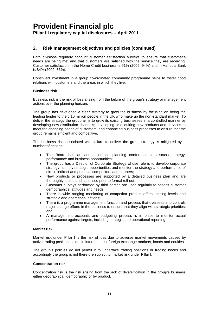#### **2. Risk management objectives and policies (continued)**

Both divisions regularly conduct customer satisfaction surveys to ensure that customer's needs are being met and that customers are satisfied with the service they are receiving. Customer satisfaction in the Home Credit business is 91% (2009: 94%) and in Vanquis Bank is 84% (2009: 86%).

Continued investment in a group co-ordinated community programme helps to foster good relations with customers and the areas in which they live.

#### **Business risk**

Business risk is the risk of loss arising from the failure of the group's strategy or management actions over the planning horizon.

The group has developed a clear strategy to grow the business by focusing on being the leading lender to the c.10 million people in the UK who make up the non-standard market. To deliver the strategy the group aims to grow its existing businesses in a controlled manner by developing new distribution channels; developing or acquiring new products and services to meet the changing needs of customers; and enhancing business processes to ensure that the group remains efficient and competitive.

The business risk associated with failure to deliver the group strategy is mitigated by a number of actions:

- The Board has an annual off-site planning conference to discuss strategy, performance and business opportunities;
- The group has a Director of Corporate Strategy whose role is to develop corporate strategy, identify strategic opportunities and monitor the strategy and performance of direct, indirect and potential competitors and partners;
- New products or processes are supported by a detailed business plan and are thoroughly tested and assessed prior to formal roll-out;
- Customer surveys performed by third parties are used regularly to assess customer demographics, attitudes and needs;
- There is wide ranging monitoring of competitor product offers, pricing levels and strategic and operational actions;
- There is a programme management function and process that oversees and controls major change efforts in the business to ensure that they align with strategic priorities; and
- A management accounts and budgeting process is in place to monitor actual performance against targets, including strategic and operational reporting.

#### **Market risk**

Market risk under Pillar I is the risk of loss due to adverse market movements caused by active trading positions taken in interest rates, foreign exchange markets, bonds and equities.

The group's policies do not permit it to undertake trading positions or trading books and accordingly the group is not therefore subject to market risk under Pillar I.

#### **Concentration risk**

Concentration risk is the risk arising from the lack of diversification in the group's business either geographical, demographic or by product.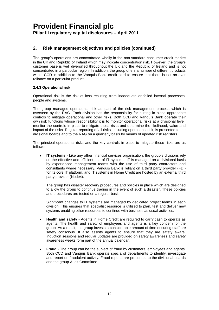#### **2. Risk management objectives and policies (continued)**

The group's operations are concentrated wholly in the non-standard consumer credit market in the UK and Republic of Ireland which may indicate concentration risk. However, the group's customer base is well diversified throughout the UK and the Republic of Ireland and is not concentrated in a particular region. In addition, the group offers a number of different products within CCD in addition to the Vanquis Bank credit card to ensure that there is not an over reliance on a particular product.

#### **2.4.3 Operational risk**

Operational risk is the risk of loss resulting from inadequate or failed internal processes, people and systems.

The group manages operational risk as part of the risk management process which is overseen by the RAC. Each division has the responsibility for putting in place appropriate controls to mitigate operational and other risks. Both CCD and Vanquis Bank operate their own risk functions whose responsibility it is to monitor operational risks at a divisional level, monitor the controls in place to mitigate those risks and determine the likelihood, value and impact of the risks. Regular reporting of all risks, including operational risk, is presented to the divisional boards and to the RAG on a quarterly basis by means of updated risk registers.

The principal operational risks and the key controls in place to mitigate those risks are as follows:

**IT systems** - Like any other financial services organisation, the group's divisions rely  $\bullet$ on the effective and efficient use of IT systems. IT is managed on a divisional basis by experienced management teams with the use of third party contractors and consultants where necessary. Vanquis Bank is reliant on a third party provider (FDI) for its core IT platform, and IT systems in Home Credit are hosted by an external third party provider (Node4).

The group has disaster recovery procedures and policies in place which are designed to allow the group to continue trading in the event of such a disaster. These policies and procedures are tested on a regular basis.

Significant changes to IT systems are managed by dedicated project teams in each division. This ensures that specialist resource is utilised to plan, test and deliver new systems enabling other resources to continue with business as usual activities.

- **Health and safety**  Agents in Home Credit are required to carry cash to operate as agents. The health and safety of employees and agents is a key concern for the group. As a result, the group invests a considerable amount of time ensuring staff are safety conscious. It also assists agents to ensure that they are safety aware. Induction sessions and regular updates are provided on safety awareness and safety awareness weeks form part of the annual calendar.
- **Fraud**  The group can be the subject of fraud by customers, employees and agents. Both CCD and Vanquis Bank operate specialist departments to identify, investigate and report on fraudulent activity. Fraud reports are presented to the divisional boards and the group Audit Committee.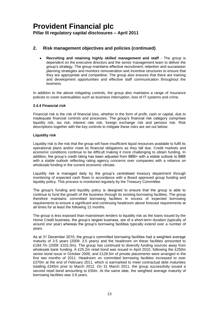#### **2. Risk management objectives and policies (continued)**

**Recruiting and retaining highly skilled management and staff** - The group is dependent on the executive directors and the senior management team to deliver the group's strategy. The group maintains effective recruitment, retention and succession planning strategies and monitors remuneration and incentive structures to ensure that they are appropriate and competitive. The group also ensures that there are training and development opportunities and effective staff communication throughout the business.

In addition to the above mitigating controls, the group also maintains a range of insurance policies to cover eventualities such as business interruption, loss of IT systems and crime.

#### **2.4.4 Financial risk**

Financial risk is the risk of financial loss, whether in the form of profit, cash or capital, due to inadequate financial controls and processes. The group's financial risk category comprises liquidity risk, tax risk, interest rate risk, foreign exchange risk and pension risk. Risk descriptions together with the key controls to mitigate these risks are set out below:

#### **Liquidity risk**

Liquidity risk is the risk that the group will have insufficient liquid resources available to fulfil its operational plans and/or meet its financial obligations as they fall due. Credit markets and economic conditions continue to be difficult making it more challenging to obtain funding. In addition, the group's credit rating has been adjusted from BBB+ with a stable outlook to BBB with a stable outlook reflecting rating agency concerns over companies with a reliance on wholesale funding in the current economic climate.

Liquidity risk is managed daily by the group's centralised treasury department through monitoring of expected cash flows in accordance with a Board approved group funding and liquidity policy. This process is monitored regularly by the Treasury Committee.

The group's funding and liquidity policy is designed to ensure that the group is able to continue to fund the growth of the business through its existing borrowing facilities. The group therefore maintains committed borrowing facilities in excess of expected borrowing requirements to ensure a significant and continuing headroom above forecast requirements at all times for at least the following 12 months.

The group is less exposed than mainstream lenders to liquidity risk as the loans issued by the Home Credit business, the group's largest business, are of a short-term duration (typically of around one year) whereas the group's borrowing facilities typically extend over a number of years.

As at 31 December 2010, the group's committed borrowing facilities had a weighted average maturity of 3.5 years (2009: 3.5 years) and the headroom on these facilities amounted to £184.7m (2009: £331.0m). The group has continued to diversify funding sources away from wholesale bank funding. A £25.2m retail bond was issued in April 2010, following the £250m senior bond issue in October 2009, and £128.5m of private placements were arranged in the first two months of 2011. Headroom on committed borrowing facilities increased to over £370m at the end of February 2011, which is earmarked to meet contractual debt maturities totalling £345m prior to March 2012. On 31 March 2011, the group successfully issued a second retail bond amounting to £50m. At the same date, the weighted average maturity of borrowing facilities was 3.8 years.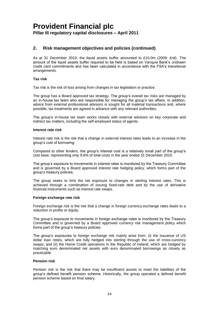#### **2. Risk management objectives and policies (continued)**

As at 31 December 2010, the liquid assets buffer amounted to £10.0m (2009: £nil). The amount of the liquid assets buffer required to be held is based on Vanquis Bank's undrawn credit card commitments and has been calculated in accordance with the FSA's transitional arrangements.

#### **Tax risk**

Tax risk is the risk of loss arising from changes in tax legislation or practice.

The group has a Board approved tax strategy. The group's overall tax risks are managed by an in-house tax team who are responsible for managing the group's tax affairs. In addition, advice from external professional advisors is sought for all material transactions and, where possible, tax treatments are agreed in advance with any relevant authorities.

The group's in-house tax team works closely with external advisors on key corporate and indirect tax matters, including the self-employed status of agents.

#### **Interest rate risk**

Interest rate risk is the risk that a change in external interest rates leads to an increase in the group's cost of borrowing.

Compared to other lenders, the group's interest cost is a relatively small part of the group's cost base, representing only 9.6% of total costs in the year ended 31 December 2010.

The group's exposure to movements in interest rates is monitored by the Treasury Committee and is governed by a Board approved interest rate hedging policy, which forms part of the group's treasury policies.

The group seeks to limit the net exposure to changes in sterling interest rates. This is achieved through a combination of issuing fixed-rate debt and by the use of derivative financial instruments such as interest rate swaps.

#### **Foreign exchange rate risk**

Foreign exchange risk is the risk that a change in foreign currency exchange rates leads to a reduction in profits or equity.

The group's exposure to movements in foreign exchange rates is monitored by the Treasury Committee and is governed by a Board approved currency risk management policy which forms part of the group's treasury policies.

The group's exposures to foreign exchange risk mainly arise from: (i) the issuance of US dollar loan notes, which are fully hedged into sterling through the use of cross-currency swaps; and (ii) the Home Credit operations in the Republic of Ireland, which are hedged by matching euro denominated net assets with euro denominated borrowings as closely as practicable.

#### **Pension risk**

Pension risk is the risk that there may be insufficient assets to meet the liabilities of the group's defined benefit pension scheme. Historically, the group operated a defined benefit pension scheme based on final salary.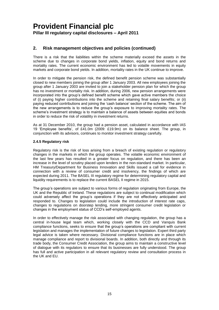#### **2. Risk management objectives and policies (continued)**

There is a risk that the liabilities within the scheme materially exceed the assets in the scheme due to changes in corporate bond yields, inflation, equity and bond returns and mortality rates. The current economic environment has led to volatile movements in equity markets and corporate bond yields. In addition, mortality rates in the UK continue to improve.

In order to mitigate the pension risk, the defined benefit pension scheme was substantially closed to new members joining the group after 1 January 2003. All new employees joining the group after 1 January 2003 are invited to join a stakeholder pension plan for which the group has no investment or mortality risk. In addition, during 2006, new pension arrangements were incorporated into the group's defined benefit scheme which gave active members the choice of (i) paying higher contributions into the scheme and retaining final salary benefits; or (ii) paying reduced contributions and joining the 'cash balance' section of the scheme. The aim of the new arrangements is to reduce the group's exposure to improving mortality rates. The scheme's investment strategy is to maintain a balance of assets between equities and bonds in order to reduce the risk of volatility in investment returns.

As at 31 December 2010, the group had a pension asset, calculated in accordance with IAS 19 'Employee benefits', of £41.0m (2009: £19.9m) on its balance sheet. The group, in conjunction with its advisors, continues to monitor investment strategy carefully.

#### **2.4.5 Regulatory risk**

Regulatory risk is the risk of loss arising from a breach of existing regulation or regulatory changes in the markets in which the group operates. The volatile economic environment of the last few years has resulted in a greater focus on regulation, and there has been an increase in the level of scrutiny placed upon lenders in the non-standard market. In particular, HM Treasury/Department for Business Innovation and Skills issued a call for evidence in connection with a review of consumer credit and insolvency, the findings of which are expected during 2011. The BASEL III regulatory regime for determining regulatory capital and liquidity requirements is to replace the current BASEL II regime in 2015.

The group's operations are subject to various forms of regulation originating from Europe, the UK and the Republic of Ireland. These regulations are subject to continual modification which could adversely affect the group's operations if they are not effectively anticipated and responded to. Changes to legislation could include the introduction of interest rate caps, changes to regulations on doorstep lending, more stringent consumer credit legislation or changes in the employment status of CCD's self-employed agents.

In order to effectively manage the risk associated with changing regulation, the group has a central in-house legal team which, working closely with the CCD and Vanquis Bank compliance functions, seeks to ensure that the group's operations are compliant with current legislation and manages the implementation of future changes to legislation. Expert third party legal advice is taken where necessary. Divisional compliance functions are in place which manage compliance and report to divisional boards. In addition, both directly and through its trade body, the Consumer Credit Association, the group aims to maintain a constructive level of dialogue with its regulators to ensure that its businesses are fully understood. The group has full and active participation in all relevant regulatory review and consultation process in the UK and EU.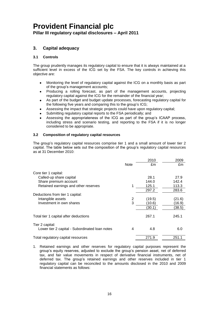**Pillar III regulatory capital disclosures – April 2011**

#### **3. Capital adequacy**

#### **3.1 Controls**

The group prudently manages its regulatory capital to ensure that it is always maintained at a sufficient level in excess of the ICG set by the FSA. The key controls in achieving this objective are:

- Monitoring the level of regulatory capital against the ICG on a monthly basis as part of the group's management accounts;
- Producing a rolling forecast, as part of the management accounts, projecting  $\bullet$ regulatory capital against the ICG for the remainder of the financial year;
- As part of the budget and budget update processes, forecasting regulatory capital for the following five years and comparing this to the group's ICG;
- Assessing the impact that strategic projects could have upon regulatory capital;
- Submitting regulatory capital reports to the FSA periodically; and
- Assessing the appropriateness of the ICG as part of the group's ICAAP process, including stress and scenario testing, and reporting to the FSA if it is no longer considered to be appropriate.

#### **3.2 Composition of regulatory capital resources**

The group's regulatory capital resources comprise tier 1 and a small amount of lower tier 2 capital. The table below sets out the composition of the group's regulatory capital resources as at 31 December 2010:

|                                                |             | 2010   | 2009   |
|------------------------------------------------|-------------|--------|--------|
|                                                | <b>Note</b> | £m     | £m     |
| Core tier 1 capital:                           |             |        |        |
| Called-up share capital                        |             | 28.1   | 27.9   |
| Share premium account                          |             | 144.0  | 142.4  |
| Retained earnings and other reserves           |             | 125.1  | 113.3  |
|                                                |             | 297.2  | 283.6  |
| Deductions from tier 1 capital:                |             |        |        |
| Intangible assets                              | 2           | (19.5) | (21.6) |
| Investment in own shares                       | 3           | (10.6) | (16.9) |
|                                                |             | (30.1) | (38.5) |
| Total tier 1 capital after deductions          |             | 267.1  | 245.1  |
| Tier 2 capital:                                |             |        |        |
| Lower tier 2 capital - Subordinated Ioan notes | 4           | 4.8    | 6.0    |
| Total regulatory capital resources             |             | 271.9  | 251.1  |

1. Retained earnings and other reserves for regulatory capital purposes represent the group's equity reserves, adjusted to exclude the group's pension asset, net of deferred tax, and fair value movements in respect of derivative financial instruments, net of deferred tax. The group's retained earnings and other reserves included in tier 1 regulatory capital can be reconciled to the amounts disclosed in the 2010 and 2009 financial statements as follows: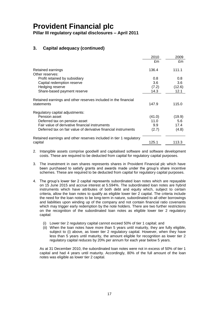**Pillar III regulatory capital disclosures – April 2011**

#### **3. Capital adequacy (continued)**

|                                                                    | 2010    | 2009   |
|--------------------------------------------------------------------|---------|--------|
|                                                                    | £m      | £m     |
| Retained earnings                                                  | 136.4   | 111.1  |
| Other reserves:                                                    |         |        |
| Profit retained by subsidiary                                      | 0.8     | 0.8    |
| Capital redemption reserve                                         | 3.6     | 3.6    |
| Hedging reserve                                                    | (7.2)   | (12.6) |
| Share-based payment reserve                                        | 14.3    | 12.1   |
| Retained earnings and other reserves included in the financial     |         |        |
| statements                                                         | 147.9   | 115.0  |
| Regulatory capital adjustments:                                    |         |        |
| Pension asset                                                      | (41.0)  | (19.9) |
| Deferred tax on pension asset                                      | 11. $0$ | 5.6    |
| Fair value of derivative financial instruments                     | 9.9     | 17.4   |
| Deferred tax on fair value of derivative financial instruments     | (2.7)   | (4.8)  |
| Retained earnings and other reserves included in tier 1 regulatory |         |        |
| capital                                                            | 125.1   | 113.3  |

- 2. Intangible assets comprise goodwill and capitalised software and software development costs. These are required to be deducted from capital for regulatory capital purposes.
- 3. The investment in own shares represents shares in Provident Financial plc which have been purchased to satisfy grants and awards made under the group's share incentive schemes. These are required to be deducted from capital for regulatory capital purposes.
- 4. The group's lower tier 2 capital represents subordinated loan notes which are repayable on 15 June 2015 and accrue interest at 5.594%. The subordinated loan notes are hybrid instruments which have attributes of both debt and equity which, subject to certain criteria, allow the loan notes to qualify as eligible lower tier 2 capital. The criteria include the need for the loan notes to be long-term in nature, subordinated to all other borrowings and liabilities upon winding up of the company and not contain financial ratio covenants which may trigger early redemption by the note holders. There are two further restrictions on the recognition of the subordinated loan notes as eligible lower tier 2 regulatory capital:
	- (i) Lower tier 2 regulatory capital cannot exceed 50% of tier 1 capital; and
	- (ii) When the loan notes have more than 5 years until maturity, they are fully eligible, subject to (i) above, as lower tier 2 regulatory capital. However, when they have less than 5 years until maturity, the amount eligible for recognition as lower tier 2 regulatory capital reduces by 20% per annum for each year below 5 years.

As at 31 December 2010, the subordinated loan notes were not in excess of 50% of tier 1 capital and had 4 years until maturity. Accordingly, 80% of the full amount of the loan notes was eligible as lower tier 2 capital.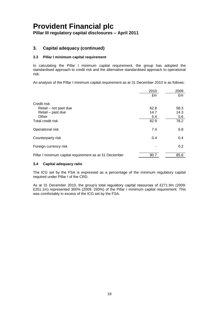**Pillar III regulatory capital disclosures – April 2011**

#### **3. Capital adequacy (continued)**

#### **3.3 Pillar I minimum capital requirement**

In calculating the Pillar I minimum capital requirement, the group has adopted the standardised approach to credit risk and the alternative standardised approach to operational risk.

An analysis of the Pillar I minimum capital requirement as at 31 December 2010 is as follows:

|                                                        | 2010 | 2009 |
|--------------------------------------------------------|------|------|
|                                                        | £m   | £m   |
| Credit risk:                                           |      |      |
| Retail – not past due                                  | 62.8 | 58.3 |
| Retail - past due                                      | 14.7 | 14.3 |
| Other                                                  | 5.4  | 5.6  |
| Total credit risk                                      | 82.9 | 78.2 |
| Operational risk                                       | 7.4  | 6.8  |
| Counterparty risk                                      | 0.4  | 0.4  |
| Foreign currency risk                                  |      | 0.2  |
| Pillar I minimum capital requirement as at 31 December | 90.7 | 85.6 |

#### **3.4 Capital adequacy ratio**

The ICG set by the FSA is expressed as a percentage of the minimum regulatory capital required under Pillar I of the CRD.

As at 31 December 2010, the group's total regulatory capital resources of £271.9m (2009: £251.1m) represented 300% (2009: 293%) of the Pillar I minimum capital requirement. This was comfortably in excess of the ICG set by the FSA.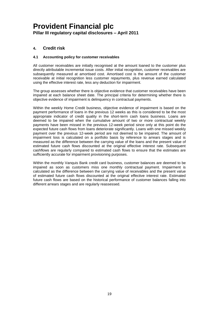#### **4. Credit risk**

#### **4.1 Accounting policy for customer receivables**

All customer receivables are initially recognised at the amount loaned to the customer plus directly attributable incremental issue costs. After initial recognition, customer receivables are subsequently measured at amortised cost. Amortised cost is the amount of the customer receivable at initial recognition less customer repayments, plus revenue earned calculated using the effective interest rate, less any deduction for impairment.

The group assesses whether there is objective evidence that customer receivables have been impaired at each balance sheet date. The principal criteria for determining whether there is objective evidence of impairment is delinquency in contractual payments.

Within the weekly Home Credit business, objective evidence of impairment is based on the payment performance of loans in the previous 12 weeks as this is considered to be the most appropriate indicator of credit quality in the short-term cash loans business. Loans are deemed to be impaired when the cumulative amount of two or more contractual weekly payments have been missed in the previous 12-week period since only at this point do the expected future cash flows from loans deteriorate significantly. Loans with one missed weekly payment over the previous 12-week period are not deemed to be impaired. The amount of impairment loss is calculated on a portfolio basis by reference to arrears stages and is measured as the difference between the carrying value of the loans and the present value of estimated future cash flows discounted at the original effective interest rate. Subsequent cashflows are regularly compared to estimated cash flows to ensure that the estimates are sufficiently accurate for impairment provisioning purposes.

Within the monthly Vanquis Bank credit card business, customer balances are deemed to be impaired as soon as customers miss one monthly contractual payment. Impairment is calculated as the difference between the carrying value of receivables and the present value of estimated future cash flows discounted at the original effective interest rate. Estimated future cash flows are based on the historical performance of customer balances falling into different arrears stages and are regularly reassessed.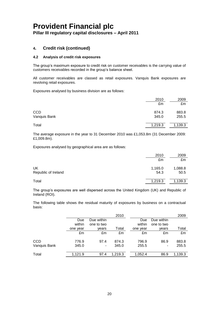#### **4. Credit risk (continued)**

#### **4.2 Analysis of credit risk exposures**

The group's maximum exposure to credit risk on customer receivables is the carrying value of customers receivables recorded in the group's balance sheet.

All customer receivables are classed as retail exposures. Vanquis Bank exposures are revolving retail exposures.

Exposures analysed by business division are as follows:

|                            | 2010<br>£m     | 2009<br>£m     |
|----------------------------|----------------|----------------|
| <b>CCD</b><br>Vanquis Bank | 874.3<br>345.0 | 883.8<br>255.5 |
| Total                      | 1,219.3        | 1,139.3        |

The average exposure in the year to 31 December 2010 was £1,053.8m (31 December 2009: £1,009.8m).

Exposures analysed by geographical area are as follows:

|                           | 2010            | 2009            |
|---------------------------|-----------------|-----------------|
|                           | £m              | £m              |
| UK<br>Republic of Ireland | 1,165.0<br>54.3 | 1,088.8<br>50.5 |
| Total                     | 1,219.3         | 1,139.3         |

The group's exposures are well dispersed across the United Kingdom (UK) and Republic of Ireland (ROI).

The following table shows the residual maturity of exposures by business on a contractual basis:

|              |          |            | 2010    |          |            | 2009    |
|--------------|----------|------------|---------|----------|------------|---------|
|              | Due      | Due within |         | Due      | Due within |         |
|              | within   | one to two |         | within   | one to two |         |
|              | one year | vears      | Total   | one year | vears      | Total   |
|              | £m       | £m         | £m      | £m       | £m         | £m      |
| <b>CCD</b>   | 776.9    | 97.4       | 874.3   | 796.9    | 86.9       | 883.8   |
| Vanquis Bank | 345.0    | ۰          | 345.0   | 255.5    |            | 255.5   |
| Total        | 1.121.9  | 97.4       | 1,219.3 | 1.052.4  | 86.9       | 1,139.3 |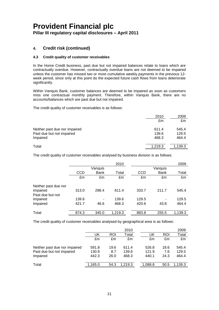#### **4. Credit risk (continued)**

#### **4.3 Credit quality of customer receivables**

In the Home Credit business, past due but not impaired balances relate to loans which are contractually overdue. However, contractually overdue loans are not deemed to be impaired unless the customer has missed two or more cumulative weekly payments in the previous 12 week period, since only at this point do the expected future cash flows from loans deteriorate significantly.

Within Vanquis Bank, customer balances are deemed to be impaired as soon as customers miss one contractual monthly payment. Therefore, within Vanquis Bank, there are no accounts/balances which are past due but not impaired.

The credit quality of customer receivables is as follows:

|                                                                        | 2010<br>£m              | 2009<br>£m              |
|------------------------------------------------------------------------|-------------------------|-------------------------|
| Neither past due nor impaired<br>Past due but not impaired<br>Impaired | 611.4<br>139.6<br>468.3 | 545.4<br>129.5<br>464.4 |
| Total                                                                  | 1,219.3                 | 1,139.3                 |

The credit quality of customer receivables analysed by business division is as follows:

|                      |            |             | 2010    |       |             | 2009    |
|----------------------|------------|-------------|---------|-------|-------------|---------|
|                      |            | Vanquis     |         |       | Vanquis     |         |
|                      | <b>CCD</b> | <b>Bank</b> | Total   | CCD   | <b>Bank</b> | Total   |
|                      | £m         | £m          | £m      | £m    | £m          | £m      |
| Neither past due nor |            |             |         |       |             |         |
| impaired             | 313.0      | 298.4       | 611.4   | 333.7 | 211.7       | 545.4   |
| Past due but not     |            |             |         |       |             |         |
| impaired             | 139.6      |             | 139.6   | 129.5 |             | 129.5   |
| Impaired             | 421.7      | 46.6        | 468.3   | 420.6 | 43.8        | 464.4   |
| Total                | 874.3      | 345.0       | 1,219.3 | 883.8 | 255.5       | 1,139.3 |

The credit quality of customer receivables analysed by geographical area is as follows:

|                               |         |      | 2010    |         |      | 2009    |
|-------------------------------|---------|------|---------|---------|------|---------|
|                               | UK      | ROI  | Total   | UK      | ROI  | Total   |
|                               | £m      | £m   | £m      | £m      | £m   | £m      |
| Neither past due nor impaired | 591.8   | 19.6 | 611.4   | 526.8   | 18.6 | 545.4   |
| Past due but not impaired     | 130.9   | 8.7  | 139.6   | 121.9   | 7.6  | 129.5   |
| Impaired                      | 442.3   | 26.0 | 468.3   | 440.1   | 24.3 | 464.4   |
| Total                         | 1,165.0 | 54.3 | 1.219.3 | 1,088.8 | 50.5 | 1,139.3 |
|                               |         |      |         |         |      |         |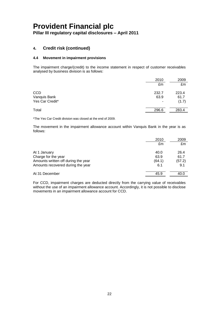**Pillar III regulatory capital disclosures – April 2011**

#### **4. Credit risk (continued)**

#### **4.4 Movement in impairment provisions**

The impairment charge/(credit) to the income statement in respect of customer receivables analysed by business division is as follows:

|                 | 2010  | 2009  |
|-----------------|-------|-------|
|                 | £m    | £m    |
| <b>CCD</b>      | 232.7 | 223.4 |
| Vanquis Bank    | 63.9  | 61.7  |
| Yes Car Credit* | ۰     | (1.7) |
| Total           | 296.6 | 283.4 |

\*The Yes Car Credit division was closed at the end of 2009.

The movement in the impairment allowance account within Vanquis Bank in the year is as follows:

|                                     | 2010   | 2009   |
|-------------------------------------|--------|--------|
|                                     | £m     | £m     |
| At 1 January                        | 40.0   | 26.4   |
| Charge for the year                 | 63.9   | 61.7   |
| Amounts written off during the year | (64.1) | (57.2) |
| Amounts recovered during the year   | 6.1    | 9.1    |
| At 31 December                      | 45.9   | 40.C   |

For CCD, impairment charges are deducted directly from the carrying value of receivables without the use of an impairment allowance account. Accordingly, it is not possible to disclose movements in an impairment allowance account for CCD.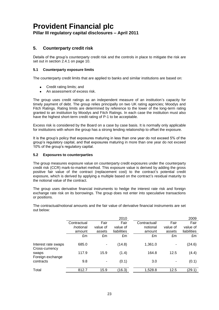#### **Pillar III regulatory capital disclosures – April 2011**

#### **5. Counterparty credit risk**

Details of the group's counterparty credit risk and the controls in place to mitigate the risk are set out in section 2.4.1 on page 10.

#### **5.1 Counterparty exposure limits**

The counterparty credit limits that are applied to banks and similar institutions are based on:

- Credit rating limits; and
- An assessment of excess risk.

The group uses credit ratings as an independent measure of an institution's capacity for timely payment of debt. The group relies principally on two UK rating agencies; Moodys and Fitch Ratings. Rating limits are determined by reference to the lower of the long-term rating granted to an institution by Moodys and Fitch Ratings. In each case the institution must also have the highest short-term credit rating of P-1 to be acceptable.

Excess risk is considered by the Board on a case by case basis. It is normally only applicable for institutions with whom the group has a strong lending relationship to offset the exposure.

It is the group's policy that exposures maturing in less than one year do not exceed 5% of the group's regulatory capital, and that exposures maturing in more than one year do not exceed 10% of the group's regulatory capital.

#### **5.2 Exposures to counterparties**

The group measures exposure value on counterparty credit exposures under the counterparty credit risk (CCR) mark-to-market method. This exposure value is derived by adding the gross positive fair value of the contract (replacement cost) to the contract's potential credit exposure, which is derived by applying a multiple based on the contract's residual maturity to the notional value of the contract.

The group uses derivative financial instruments to hedge the interest rate risk and foreign exchange rate risk on its borrowings. The group does not enter into speculative transactions or positions.

2010 2009 **Contractual** /notional amount Fair value of assets Fair value of liabilities Contractual/ notional amount Fair value of assets Fair

The contractual/notional amounts and the fair value of derivative financial instruments are set out below:

|                                       | /notional<br>amount | value of<br>assets | value of<br>liabilities | notional<br>amount | value of<br>assets       | value of<br>liabilities |
|---------------------------------------|---------------------|--------------------|-------------------------|--------------------|--------------------------|-------------------------|
|                                       | £m                  | £m                 | £m                      | £m                 | £m                       | £m                      |
| Interest rate swaps<br>Cross-currency | 685.0               | ٠                  | (14.8)                  | 1,361.0            | $\overline{\phantom{a}}$ | (24.6)                  |
| swaps<br>Foreign exchange             | 117.9               | 15.9               | (1.4)                   | 164.8              | 12.5                     | (4.4)                   |
| contracts                             | 9.8                 | ۰                  | (0.1)                   | 3.0                | $\overline{\phantom{a}}$ | (0.1)                   |
| Total                                 | 812.7               | 15.9               | (16.3)                  | 1,528.8            | 12.5                     | (29.1)                  |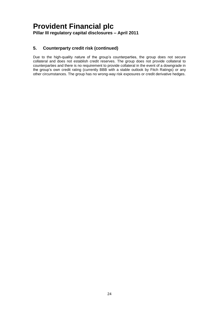#### **5. Counterparty credit risk (continued)**

Due to the high-quality nature of the group's counterparties, the group does not secure collateral and does not establish credit reserves. The group does not provide collateral to counterparties and there is no requirement to provide collateral in the event of a downgrade in the group's own credit rating (currently BBB with a stable outlook by Fitch Ratings) or any other circumstances. The group has no wrong-way risk exposures or credit derivative hedges.